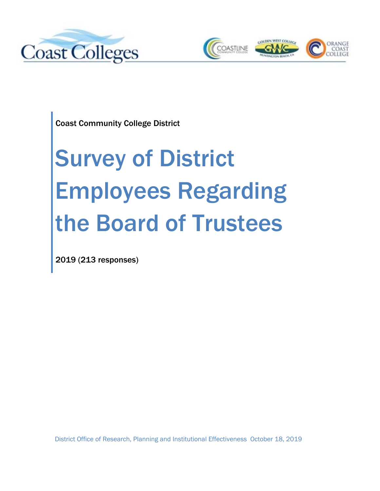



Coast Community College District

# Survey of District Employees Regarding the Board of Trustees

2019 (213 responses)

District Office of Research, Planning and Institutional Effectiveness October 18, 2019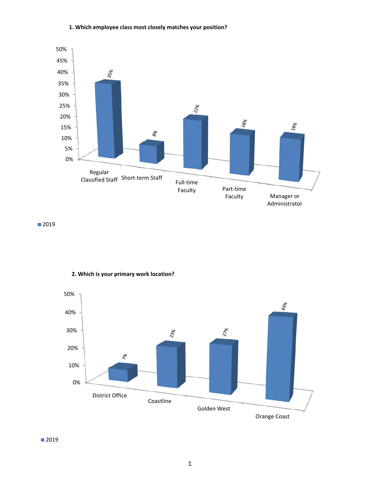## **1. Which employee class most closely matches your position?**



■2019



# **2. Which is your primary work location?**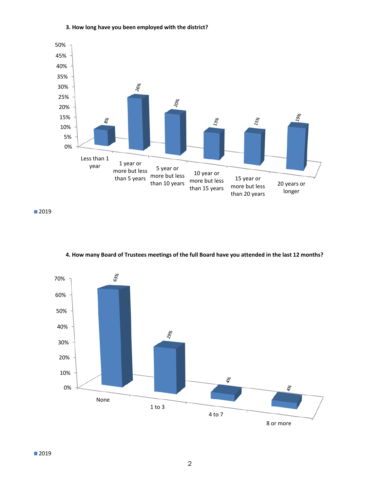

## **3. How long have you been employed with the district?**



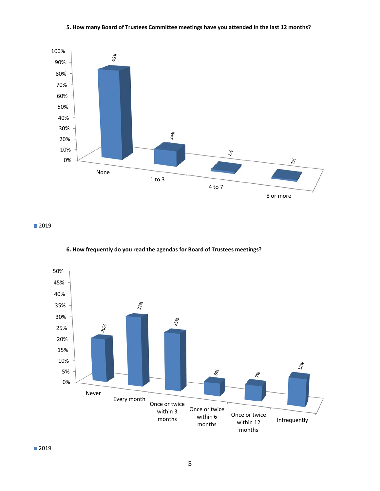## **5. How many Board of Trustees Committee meetings have you attended in the last 12 months?**



■2019



## **6. How frequently do you read the agendas for Board of Trustees meetings?**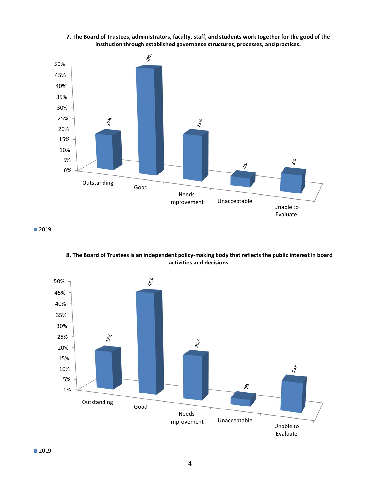

**7. The Board of Trustees, administrators, faculty, staff, and students work together for the good of the institution through established governance structures, processes, and practices.**

**8. The Board of Trustees is an independent policy‐making body that reflects the public interest in board activities and decisions.**

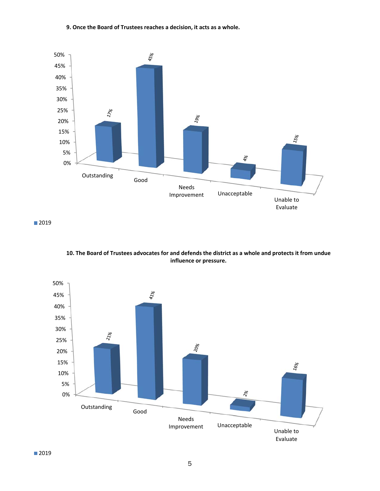## **9. Once the Board of Trustees reaches a decision, it acts as a whole.**



**10. The Board of Trustees advocates for and defends the district as a whole and protects it from undue influence or pressure.**

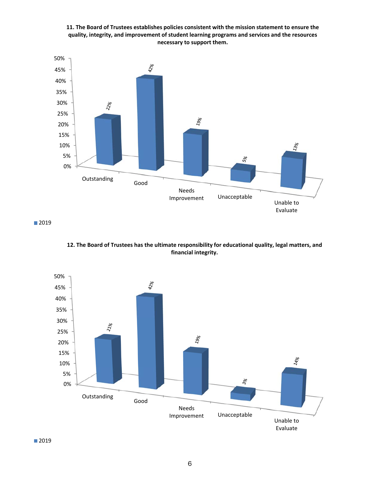**11. The Board of Trustees establishes policies consistent with the mission statement to ensure the quality, integrity, and improvement of student learning programs and services and the resources necessary to support them.**



■2019



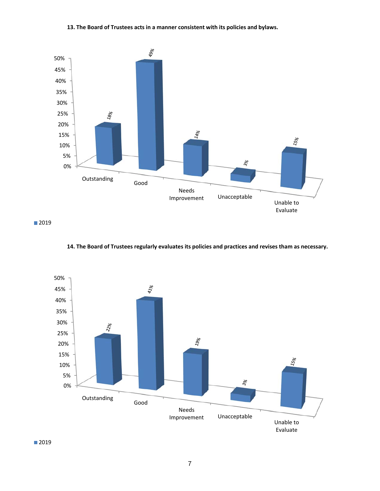## **13. The Board of Trustees acts in a manner consistent with its policies and bylaws.**



■2019



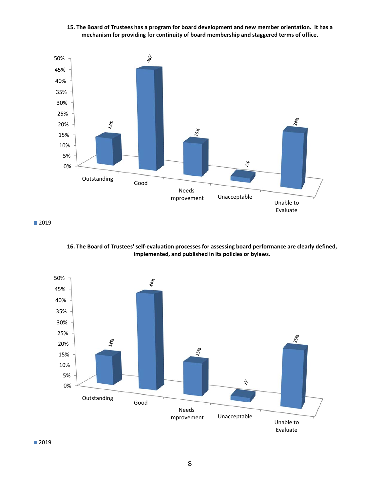



■2019



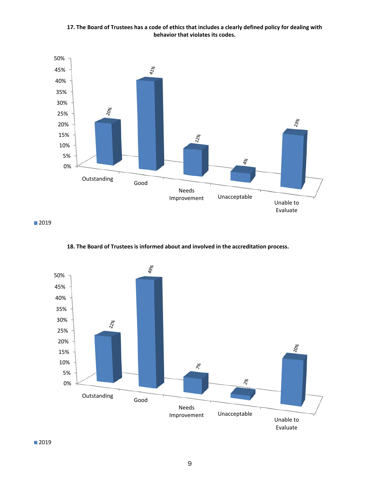**17. The Board of Trustees has a code of ethics that includes a clearly defined policy for dealing with behavior that violates its codes.**



■2019



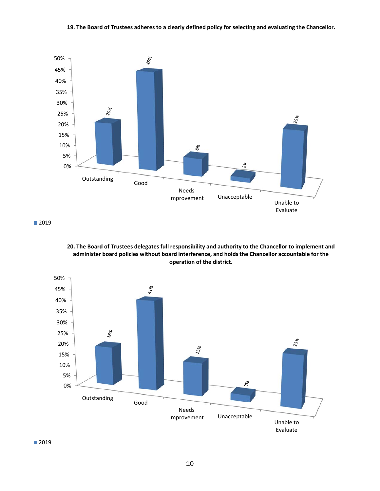#### **19. The Board of Trustees adheres to a clearly defined policy for selecting and evaluating the Chancellor.**



■2019



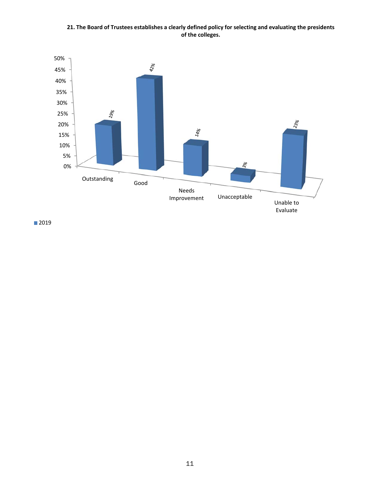**21. The Board of Trustees establishes a clearly defined policy for selecting and evaluating the presidents of the colleges.**

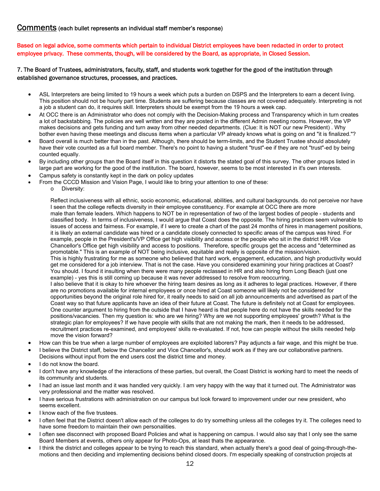# Comments (each bullet represents an individual staff member's response)

Based on legal advice, some comments which pertain to individual District employees have been redacted in order to protect employee privacy. These comments, though, will be considered by the Board, as appropriate, in Closed Session.

## 7. The Board of Trustees, administrators, faculty, staff, and students work together for the good of the institution through established governance structures, processes, and practices.

- ASL Interpreters are being limited to 19 hours a week which puts a burden on DSPS and the Interpreters to earn a decent living. This position should not be hourly part time. Students are suffering because classes are not covered adequately. Interpreting is not a job a student can do, it requires skill. Interpreters should be exempt from the 19 hours a week cap.
- At OCC there is an Administrator who does not comply with the Decision-Making process and Transparency which in turn creates a lot of backstabbing. The policies are well written and they are posted in the different Admin meeting rooms. However, the VP makes decisions and gets funding and turn away from other needed departments. (Clue: It is NOT our new President) . Why bother even having these meetings and discuss items when a particular VP already knows what is going on and "it is finalized."?
- Board overall is much better than in the past. Although, there should be term-limits, and the Student Trustee should absolutely have their vote counted as a full board member. There's no point to having a student "trust"-ee if they are not "trust"-ed by being counted equally.
- By including other groups than the Board itself in this question it distorts the stated goal of this survey. The other groups listed in large part are working for the good of the institution. The board, however, seems to be most interested in it's own interests.
- Campus safety is constantly kept in the dark on policy updates
- From the CCCD Mission and Vision Page, I would like to bring your attention to one of these:
	- o Diversity:

Reflect inclusiveness with all ethnic, socio economic, educational, abilities, and cultural backgrounds. do not perceive nor have I seen that the college reflects diversity in their employee constituency. For example at OCC there are more male than female leaders. Which happens to NOT be in representation of two of the largest bodies of people - students and classified body. In terms of inclusiveness, I would argue that Coast does the opposite. The hiring practices seem vulnerable to issues of access and fairness. For example, if I were to create a chart of the past 24 months of hires in management positions, it is likely an external candidate was hired or a candidate closely connected to specific areas of the campus was hired. For example, people in the President's/VP Office get high visibility and access or the people who sit in the district HR Vice Chancellor's Office get high visibility and access to positions. Therefore, specific groups get the access and "determined as promotable." This is an example of NOT being inclusive, equitable and really is opposite of the mission/vision. This is highly frustrating for me as someone who believed that hard work, engagement, education, and high productivity would get me considered for a job interview. That is not the case. Have you considered examining your hiring practices at Coast? You should. I found it insulting when there were many people reclassed in HR and also hiring from Long Beach (just one example) - yes this is still coming up because it was never addressed to resolve from reoccurring. I also believe that it is okay to hire whoever the hiring team desires as long as it adheres to legal practices. However, if there are no promotions available for internal employees or once hired at Coast someone will likely not be considered for opportunities beyond the original role hired for, it really needs to said on all job announcements and advertised as part of the Coast way so that future applicants have an idea of their future at Coast. The future is definitely not at Coast for employees. One counter argument to hiring from the outside that I have heard is that people here do not have the skills needed for the positions/vacancies. Then my question is: who are we hiring? Why are we not supporting employees' growth? What is the strategic plan for employees? If we have people with skills that are not making the mark, then it needs to be addressed, recruitment practices re-examined, and employees' skills re-evaluated. If not, how can people without the skills needed help move the vision forward?

- How can this be true when a large number of employees are exploited laborers? Pay adjuncts a fair wage, and this might be true.
- I believe the District staff, below the Chancellor and Vice Chancellor's, should work as if they are our collaborative partners. Decisions without input from the end users cost the district time and money.
- I do not know the board.
- I don't have any knowledge of the interactions of these parties, but overall, the Coast District is working hard to meet the needs of its community and students.
- I had an issue last month and it was handled very quickly. I am very happy with the way that it turned out. The Administrator was very professional and the matter was resolved.
- I have serious frustrations with administration on our campus but look forward to improvement under our new president, who seems excellent.
- I know each of the five trustees.
- I often feel that the District doesn't allow each of the colleges to do try something unless all the colleges try it. The colleges need to have some freedom to maintain their own personalities.
- I often see disconnect with proposed Board Policies and what is happening on campus. I would also say that I only see the same Board Members at events, others only appear for Photo-Ops, at least thats the appearance.
- I think the district and colleges appear to be trying to reach this standard, when actually there's a good deal of going-through-themotions and then deciding and implementing decisions behind closed doors. I'm especially speaking of construction projects at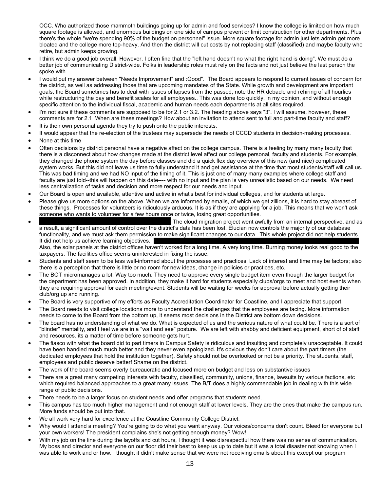OCC. Who authorized those mammoth buildings going up for admin and food services? I know the college is limited on how much square footage is allowed, and enormous buildings on one side of campus prevent or limit construction for other departments. Plus there's the whole "we're spending 90% of the budget on personnel" issue. More square footage for admin just lets admin get more bloated and the college more top-heavy. And then the district will cut costs by not replacing staff (classified) and maybe faculty who retire, but admin keeps growing.

- I think we do a good job overall. However, I often find that the "left hand doesn't no what the right hand is doing". We must do a better job of communicating District-wide. Folks in leadership roles must rely on the facts and not just believe the last person the spoke with.
- I would put my answer between "Needs Improvement" and :Good". The Board appears to respond to current issues of concern for the district, as well as addressing those that are upcoming mandates of the State. While growth and development are important goals, the Board sometimes has to deal with issues of lapses from the passed; note the HR debacle and rehiring of all hourlies while restructuring the pay and benefit scales for all employees.. This was done too quickly, in my opinion, and without enough specific attention to the individual fiscal, academic and human needs each departments at all sites required.
- I'm not sure if these comments are supposed to be for 2.1 or 3.2. The heading above says "3". I will assume, however, these comments are for 2.1 When are these meetings? How about an invitation to attend sent to full and part-time faculty and staff?
- It is their own personal agenda they try to push onto the public interests.
- It would appear that the re-election of the trustees may supersede the needs of CCCD students in decision-making processes.
- None at this time
- Often decisions by district personal have a negative affect on the college campus. There is a feeling by many many faculty that there is a disconnect about how changes made at the district level affect our college personal, faculty and students. For example, they changed the phone system the day before classes and did a quick flex day overview of this new (and nice) complicated system works. But this did not leave us time to fully understand it and get assistance at the time that most students/staff will call us. This was bad timing and we had NO input of the timing of it. This is just one of many many examples where college staff and faculty are just told--this will happen on this date---- with no input and the plan is very unrealistic based on our needs. We need less centralization of tasks and decision and more respect for our needs and input.
- Our Board is open and available, attentive and active in what's best for individual colleges, and for students at large.
- Please give us more options on the above. When we are informed by emails, of which we get zillions, it is hard to stay abreast of these things. Processes for volunteers is ridiculously arduous. It is as if they are applying for a job. This means that we won't ask someone who wants to volunteer for a few hours once or twice, losing great opportunities.
- The cloud migration project went awfully from an internal perspective, and as a result, a significant amount of control over the district's data has been lost. Elucian now controls the majority of our database functionality, and we must ask them permission to make significant changes to our data. This whole project did not help students. It did not help us achieve learning objectives.

Also, the solar panels at the district offices haven't worked for a long time. A very long time. Burning money looks real good to the taxpayers. The facilities office seems uninterested in fixing the issue.

- Students and staff seem to be less well-informed about the processes and practices. Lack of interest and time may be factors; also there is a perception that there is little or no room for new ideas, change in policies or practices, etc.
- The BOT micromanages a lot. Way too much. They need to approve every single budget item even though the larger budget for the department has been approved. In addition, they make it hard for students especially clubs/orgs to meet and host events when they are requiring approval for each meeting/event. Students will be waiting for weeks for approval before actually getting their club/org up and running.
- The Board is very supportive of my efforts as Faculty Accreditation Coordinator for Coastline, and I appreciate that support.
- The Board needs to visit college locations more to understand the challenges that the employees are facing. More information needs to come to the Board from the bottom up, it seems most decisions in the District are bottom down decisions.
- The board has no understanding of what we do. What is expected of us and the serious nature of what could be. There is a sort of "blinder" mentality, and I feel we are in a "wait and see" posture. We are left with shabby and deficient equipment, short of of staff and resources. its a matter of time before someone gets hurt.
- The fiasco with what the board did to part timers in Campus Safety is ridiculous and insulting and completely unacceptable. It could have been handled much much better and they never even apologized. It's obvious they don't care about the part timers (the dedicated employees that hold the institution together). Safety should not be overlooked or not be a priority. The students, staff, employees and public deserve better! Shame on the district.
- The work of the board seems overly bureaucratic and focused more on budget and less on substantive issues
- There are a great many competing interests with faculty, classified, community, unions, finance, lawsuits by various factions, etc which required balanced approaches to a great many issues. The B/T does a highly commendable job in dealing with this wide range of public decisions.
- There needs to be a larger focus on student needs and offer programs that students need.
- This campus has too much higher management and not enough staff at lower levels. They are the ones that make the campus run. More funds should be put into that.
- We all work very hard for excellence at the Coastline Community College District.
- Why would I attend a meeting? You're going to do what you want anyway. Our voices/concerns don't count. Bleed for everyone but your own workers! The president complains she's not getting enough money? Wow!
- With my job on the line during the layoffs and cut hours, I thought it was disrespectful how there was no sense of communication. My boss and director and everyone on our floor did their best to keep us up to date but it was a total disaster not knowing when I was able to work and or how. I thought it didn't make sense that we were not receiving emails about this except our program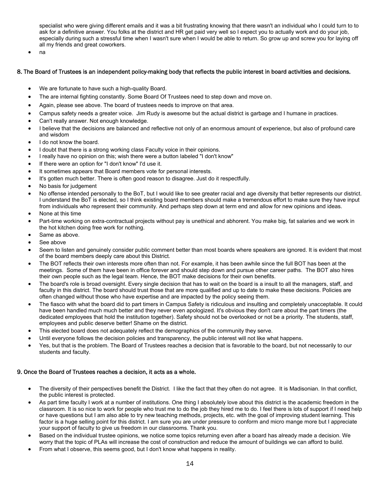specialist who were giving different emails and it was a bit frustrating knowing that there wasn't an individual who I could turn to to ask for a definitive answer. You folks at the district and HR get paid very well so I expect you to actually work and do your job, especially during such a stressful time when I wasn't sure when I would be able to return. So grow up and screw you for laying off all my friends and great coworkers.

na

#### 8. The Board of Trustees is an independent policy-making body that reflects the public interest in board activities and decisions.

- We are fortunate to have such a high-quality Board.
- The are internal fighting constantly. Some Board Of Trustees need to step down and move on.
- Again, please see above. The board of trustees needs to improve on that area.
- Campus safety needs a greater voice. Jim Rudy is awesome but the actual district is garbage and I humane in practices.
- Can't really answer. Not enough knowledge.
- I believe that the decisions are balanced and reflective not only of an enormous amount of experience, but also of profound care and wisdom
- I do not know the board.
- I doubt that there is a strong working class Faculty voice in their opinions.
- I really have no opinion on this; wish there were a button labeled "I don't know"
- If there were an option for "I don't know" I'd use it.
- It sometimes appears that Board members vote for personal interests.
- It's gotten much better. There is often good reason to disagree. Just do it respectfully.
- No basis for judgement
- No offense intended personally to the BoT, but I would like to see greater racial and age diversity that better represents our district. I understand the BoT is elected, so I think existing board members should make a tremendous effort to make sure they have input from individuals who represent their community. And perhaps step down at term end and allow for new opinions and ideas.
- None at this time
- Part-time working on extra-contractual projects without pay is unethical and abhorent. You make big, fat salaries and we work in the hot kitchen doing free work for nothing.
- Same as above.
- See above
- Seem to listen and genuinely consider public comment better than most boards where speakers are ignored. It is evident that most of the board members deeply care about this District.
- The BOT reflects their own interests more often than not. For example, it has been awhile since the full BOT has been at the meetings. Some of them have been in office forever and should step down and pursue other career paths. The BOT also hires their own people such as the legal team. Hence, the BOT make decisions for their own benefits.
- The board's role is broad oversight. Every single decision that has to wait on the board is a insult to all the managers, staff, and faculty in this district. The board should trust those that are more qualified and up to date to make these decisions. Policies are often changed without those who have expertise and are impacted by the policy seeing them.
- The fiasco with what the board did to part timers in Campus Safety is ridiculous and insulting and completely unacceptable. It could have been handled much much better and they never even apologized. It's obvious they don't care about the part timers (the dedicated employees that hold the institution together). Safety should not be overlooked or not be a priority. The students, staff, employees and public deserve better! Shame on the district.
- This elected board does not adequately reflect the demographics of the community they serve.
- Until everyone follows the decision policies and transparency, the public interest will not like what happens.
- Yes, but that is the problem. The Board of Trustees reaches a decision that is favorable to the board, but not necessarily to our students and faculty.

## 9. Once the Board of Trustees reaches a decision, it acts as a whole.

- The diversity of their perspectives benefit the District. I like the fact that they often do not agree. It is Madisonian. In that conflict, the public interest is protected.
- As part time faculty I work at a number of institutions. One thing I absolutely love about this district is the academic freedom in the classroom. It is so nice to work for people who trust me to do the job they hired me to do. I feel there is lots of support if I need help or have questions but I am also able to try new teaching methods, projects, etc. with the goal of improving student learning. This factor is a huge selling point for this district. I am sure you are under pressure to conform and micro mange more but I appreciate your support of faculty to give us freedom in our classrooms. Thank you.
- Based on the individual trustee opinions, we notice some topics returning even after a board has already made a decision. We worry that the topic of PLAs will increase the cost of construction and reduce the amount of buildings we can afford to build.
- From what I observe, this seems good, but I don't know what happens in reality.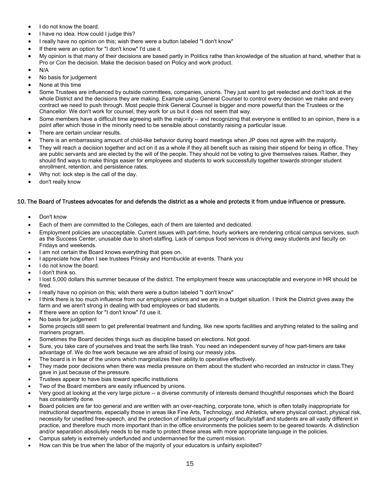- I do not know the board.
- I have no idea. How could I judge this?
- I really have no opinion on this; wish there were a button labeled "I don't know"
- If there were an option for "I don't know" I'd use it.
- My opinion is that many of their decisions are based partly in Politics rathe than knowledge of the situation at hand, whether that is Pro or Con the decision. Make the decision based on Policy and work product.
- N/A
- No basis for judgement
- None at this time
- Some Trustees are influenced by outside committees, companies, unions. They just want to get reelected and don't look at the whole District and the decisions they are making. Example using General Counsel to control every decision we make and every contract we need to push through. Most people think General Counsel is bigger and more powerful than the Trustees or the Chancellor. We don't work for counsel, they work for us but it does not seem that way.
- Some members have a difficult time agreeing with the majority -- and recognizing that everyone is entitled to an opinion, there is a point after which those in the minority need to be sensible about constantly raising a particular issue.
- There are certain unclear results.
- There is an embarrassing amount of child-like behavior during board meetings when JP does not agree with the majority.
- They will reach a decision together and act on it as a whole if they all benefit such as raising their stipend for being in office. They are public servants and are elected by the will of the people. They should not be voting to give themselves raises. Rather, they should find ways to make things easier for employees and students to work successfully together towards stronger student enrollment, retention, and persistence rates.
- Why not: lock step is the call of the day.
- don't really know

#### 10. The Board of Trustees advocates for and defends the district as a whole and protects it from undue influence or pressure.

- Don't know
- Each of them are committed to the Colleges, each of them are talented and dedicated.
- Employment policies are unacceptable. Current issues with part-time, hourly workers are rendering critical campus services, such as the Success Center, unusable due to short-staffing. Lack of campus food services is driving away students and faculty on Fridays and weekends.
- I am not certain the Board knows everything that goes on.
- I appreciate how often I see trustees Prinsky and Hornbuckle at events. Thank you
- I do not know the board.
- I don't think so.
- I lost 5,000 dollars this summer because of the district. The employment freeze was unacceptable and everyone in HR should be fired.
- I really have no opinion on this; wish there were a button labeled "I don't know"
- I think there is too much influence from our employee unions and we are in a budget situation. I think the District gives away the farm and we aren't strong in dealing with bad employees or bad students.
- If there were an option for "I don't know" I'd use it.
- No basis for judgement
- Some projects still seem to get preferential treatment and funding, like new sports facilities and anything related to the sailing and mariners program.
- Sometimes the Board decides things such as discipline based on elections. Not good.
- Sure, you take care of yourselves and treat the serfs like trash. You need an independent survey of how part-timers are take advantage of. We do free work because we are afraid of losing our measly jobs.
- The board is in fear of the unions which marginalizes their ability to operative effectively.
- They made poor decisions when there was media pressure on them about the student who recorded an instructor in class.They gave in just because of the pressure.
- Trustees appear to have bias toward specific institutions
- Two of the Board members are easily influenced by unions.
- Very good at looking at the very large picture -- a diverse community of interests demand thoughtful responses which the Board has consistently done.
- Board policies are far too general and are written with an over-reaching, corporate tone, which is often totally inappropriate for instructional departments, especially those in areas like Fine Arts, Technology, and Athletics, where physical contact, physical risk, necessity for unedited free-speech, and the protection of intellectual property of faculty/staff and students are all vastly different in practice, and therefore much more important than in the office environments the policies seem to be geared towards. A distinction and/or separation absolutely needs to be made to protect these areas with more appropriate language in the policies.
- Campus safety is extremely underfunded and undermanned for the current mission.
- How can this be true when the labor of the majority of your educators is unfairly exploited?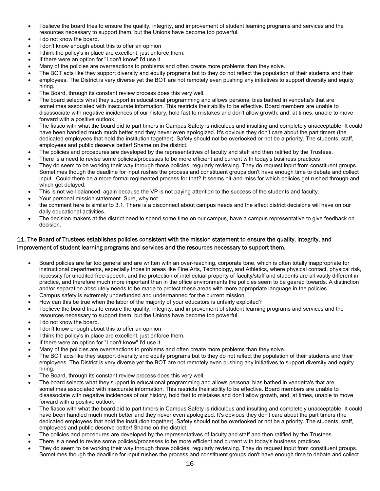- I believe the board tries to ensure the quality, integrity, and improvement of student learning programs and services and the resources necessary to support them, but the Unions have become too powerful.
- I do not know the board.
- I don't know enough about this to offer an opinion
- I think the policy's in place are excellent, just enforce them.
- If there were an option for "I don't know" I'd use it.
- Many of the policies are overreactions to problems and often create more problems than they solve.
- The BOT acts like they support diversity and equity programs but to they do not reflect the population of their students and their employees. The District is very diverse yet the BOT are not remotely even pushing any initiatives to support diversity and equity hiring.
- The Board, through its constant review process does this very well.
- The board selects what they support in educational programming and allows personal bias bathed in vendetta's that are sometimes associated with inaccurate information. This restricts their ability to be effective. Board members are unable to disassociate with negative incidences of our history, hold fast to mistakes and don't allow growth, and, at times, unable to move forward with a positive outlook.
- The fiasco with what the board did to part timers in Campus Safety is ridiculous and insulting and completely unacceptable. It could have been handled much much better and they never even apologized. It's obvious they don't care about the part timers (the dedicated employees that hold the institution together). Safety should not be overlooked or not be a priority. The students, staff, employees and public deserve better! Shame on the district.
- The policies and procedures are developed by the representatives of faculty and staff and then ratified by the Trustees.
- There is a need to revise some policies/processes to be more efficient and current with today's business practices
- They do seem to be working their way through those policies, regularly reviewing. They do request input from constituent groups. Sometimes though the deadline for input rushes the process and constituent groups don't have enough time to debate and collect input. Could there be a more formal regimented process for that? It seems hit-and-miss for which policies get rushed through and which get delayed.
- This is not well balanced, again because the VP is not paying attention to the success of the students and faculty.
- Your personal mission statement. Sure, why not.
- the comment here is similar to 3.1. There is a disconnect about campus needs and the affect district decisions will have on our daily educational activities.
- The decision makers at the district need to spend some time on our campus, have a campus representative to give feedback on decision.

## 11. The Board of Trustees establishes policies consistent with the mission statement to ensure the quality, integrity, and improvement of student learning programs and services and the resources necessary to support them.

- Board policies are far too general and are written with an over-reaching, corporate tone, which is often totally inappropriate for instructional departments, especially those in areas like Fine Arts, Technology, and Athletics, where physical contact, physical risk, necessity for unedited free-speech, and the protection of intellectual property of faculty/staff and students are all vastly different in practice, and therefore much more important than in the office environments the policies seem to be geared towards. A distinction and/or separation absolutely needs to be made to protect these areas with more appropriate language in the policies.
- Campus safety is extremely underfunded and undermanned for the current mission.
- How can this be true when the labor of the majority of your educators is unfairly exploited?
- I believe the board tries to ensure the quality, integrity, and improvement of student learning programs and services and the resources necessary to support them, but the Unions have become too powerful.
- I do not know the board.
- I don't know enough about this to offer an opinion
- I think the policy's in place are excellent, just enforce them.
- If there were an option for "I don't know" I'd use it.
- Many of the policies are overreactions to problems and often create more problems than they solve.
- The BOT acts like they support diversity and equity programs but to they do not reflect the population of their students and their employees. The District is very diverse yet the BOT are not remotely even pushing any initiatives to support diversity and equity hiring.
- The Board, through its constant review process does this very well.
- The board selects what they support in educational programming and allows personal bias bathed in vendetta's that are sometimes associated with inaccurate information. This restricts their ability to be effective. Board members are unable to disassociate with negative incidences of our history, hold fast to mistakes and don't allow growth, and, at times, unable to move forward with a positive outlook.
- The fiasco with what the board did to part timers in Campus Safety is ridiculous and insulting and completely unacceptable. It could have been handled much much better and they never even apologized. It's obvious they don't care about the part timers (the dedicated employees that hold the institution together). Safety should not be overlooked or not be a priority. The students, staff, employees and public deserve better! Shame on the district.
- The policies and procedures are developed by the representatives of faculty and staff and then ratified by the Trustees.
- There is a need to revise some policies/processes to be more efficient and current with today's business practices
- They do seem to be working their way through those policies, regularly reviewing. They do request input from constituent groups. Sometimes though the deadline for input rushes the process and constituent groups don't have enough time to debate and collect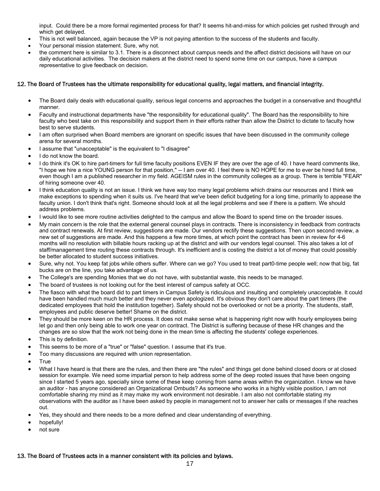input. Could there be a more formal regimented process for that? It seems hit-and-miss for which policies get rushed through and which get delayed.

- This is not well balanced, again because the VP is not paying attention to the success of the students and faculty.
- Your personal mission statement. Sure, why not.
- the comment here is similar to 3.1. There is a disconnect about campus needs and the affect district decisions will have on our daily educational activities. The decision makers at the district need to spend some time on our campus, have a campus representative to give feedback on decision.

#### 12. The Board of Trustees has the ultimate responsibility for educational quality, legal matters, and financial integrity.

- The Board daily deals with educational quality, serious legal concerns and approaches the budget in a conservative and thoughtful manner.
- Faculty and instructional departments have "the responsibility for educational quality". The Board has the responsibility to hire faculty who best take on this responsibility and support them in their efforts rather than allow the District to dictate to faculty how best to serve students.
- I am often surprised when Board members are ignorant on specific issues that have been discussed in the community college arena for several months.
- I assume that "unacceptable" is the equivalent to "I disagree"
- I do not know the board.
- I do think it's OK to hire part-timers for full time faculty positions EVEN IF they are over the age of 40. I have heard comments like, "I hope we hire a nice YOUNG person for that position," -- I am over 40. I feel there is NO HOPE for me to ever be hired full time, even though I am a published researcher in my field. AGEISM rules in the community colleges as a group. There is terrible "FEAR" of hiring someone over 40.
- I think education quality is not an issue. I think we have way too many legal problems which drains our resources and I think we make exceptions to spending when it suits us. I've heard that we've been deficit budgeting for a long time, primarily to appease the faculty union. I don't think that's right. Someone should look at all the legal problems and see if there is a pattern. We should address problems.
- I would like to see more routine activities delighted to the campus and allow the Board to spend time on the broader issues.
- My main concern is the role that the external general counsel plays in contracts. There is inconsistency in feedback from contracts and contract renewals. At first review, suggestions are made. Our vendors rectify these suggestions. Then upon second review, a new set of suggestions are made. And this happens a few more times, at which point the contract has been in review for 4-6 months will no resolution with billable hours racking up at the district and with our vendors legal counsel. This also takes a lot of staff/management time routing these contracts through. It's inefficient and is costing the district a lot of money that could possibly be better allocated to student success initiatives.
- Sure, why not. You keep fat jobs while others suffer. Where can we go? You used to treat part0-time people well; now that big, fat bucks are on the line, you take advantage of us.
- The College's are spending Monies that we do not have, with substantial waste, this needs to be managed.
- The board of trustees is not looking out for the best interest of campus safety at OCC.
- The fiasco with what the board did to part timers in Campus Safety is ridiculous and insulting and completely unacceptable. It could have been handled much much better and they never even apologized. It's obvious they don't care about the part timers (the dedicated employees that hold the institution together). Safety should not be overlooked or not be a priority. The students, staff, employees and public deserve better! Shame on the district.
- They should be more keen on the HR process. It does not make sense what is happening right now with hourly employees being let go and then only being able to work one year on contract. The District is suffering because of these HR changes and the changes are so slow that the work not being done in the mean time is affecting the students' college experiences.
- This is by definition.
- This seems to be more of a "true" or "false" question. I assume that it's true.
- Too many discussions are required with union representation.
- **True**
- What I have heard is that there are the rules, and then there are "the rules" and things get done behind closed doors or at closed session for example. We need some impartial person to help address some of the deep rooted issues that have been ongoing since I started 5 years ago, specially since some of these keep coming from same areas within the organization. I know we have an auditor - has anyone considered an Organizational Ombuds? As someone who works in a highly visible position, I am not comfortable sharing my mind as it may make my work environment not desirable. I am also not comfortable stating my observations with the auditor as I have been asked by people in management not to answer her calls or messages if she reaches out.
- Yes, they should and there needs to be a more defined and clear understanding of everything.
- hopefully!
- not sure

#### 13. The Board of Trustees acts in a manner consistent with its policies and bylaws.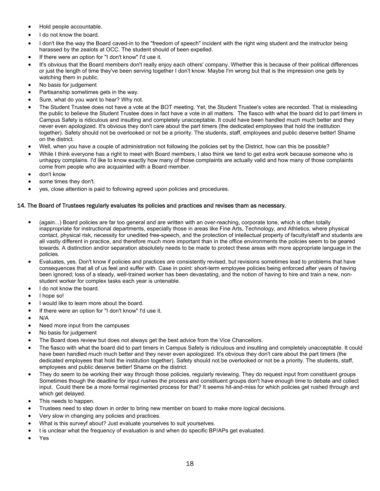- Hold people accountable.
- I do not know the board.
- I don't like the way the Board caved-in to the "freedom of speech" incident with the right wing student and the instructor being harassed by the zealots at OCC. The student should of been expelled.
- If there were an option for "I don't know" I'd use it.
- It's obvious that the Board members don't really enjoy each others' company. Whether this is because of their political differences or just the length of time they've been serving together I don't know. Maybe I'm wrong but that is the impression one gets by watching them in public.
- No basis for judgement
- Partisanship sometimes gets in the way.
- Sure, what do you want to hear? Why not.
- The Student Trustee does not have a vote at the BOT meeting. Yet, the Student Trustee's votes are recorded. That is misleading the public to believe the Student Trustee does in fact have a vote in all matters. The fiasco with what the board did to part timers in Campus Safety is ridiculous and insulting and completely unacceptable. It could have been handled much much better and they never even apologized. It's obvious they don't care about the part timers (the dedicated employees that hold the institution together). Safety should not be overlooked or not be a priority. The students, staff, employees and public deserve better! Shame on the district.
- Well, when you have a couple of administration not following the policies set by the District, how can this be possible?
- While I think everyone has a right to meet with Board members, I also think we tend to get extra work because someone who is unhappy complains. I'd like to know exactly how many of those complaints are actually valid and how many of those complaints come from people who are acquainted with a Board member.
- don't know
- some times they don't.
- yes, close attention is paid to following agreed upon policies and procedures.

#### 14. The Board of Trustees regularly evaluates its policies and practices and revises tham as necessary.

- (again...) Board policies are far too general and are written with an over-reaching, corporate tone, which is often totally inappropriate for instructional departments, especially those in areas like Fine Arts, Technology, and Athletics, where physical contact, physical risk, necessity for unedited free-speech, and the protection of intellectual property of faculty/staff and students are all vastly different in practice, and therefore much more important than in the office environments the policies seem to be geared towards. A distinction and/or separation absolutely needs to be made to protect these areas with more appropriate language in the policies.
- Evaluates, yes. Don't know if policies and practices are consistently revised, but revisions sometimes lead to problems that have consequences that all of us feel and suffer with. Case in point: short-term employee policies being enforced after years of having been ignored; loss of a steady, well-trained worker has been devastating, and the notion of having to hire and train a new, nonstudent worker for complex tasks each year is untenable.
- I do not know the board.
- I hope so!
- I would like to learn more about the board.
- If there were an option for "I don't know" I'd use it.
- N/A
- Need more input from the campuses
- No basis for judgement
- The Board does review but does not always get the best advice from the Vice Chancellors.
- The fiasco with what the board did to part timers in Campus Safety is ridiculous and insulting and completely unacceptable. It could have been handled much much better and they never even apologized. It's obvious they don't care about the part timers (the dedicated employees that hold the institution together). Safety should not be overlooked or not be a priority. The students, staff, employees and public deserve better! Shame on the district.
- They do seem to be working their way through those policies, regularly reviewing. They do request input from constituent groups Sometimes though the deadline for input rushes the process and constituent groups don't have enough time to debate and collect input. Could there be a more formal regimented process for that? It seems hit-and-miss for which policies get rushed through and which get delayed.
- This needs to happen.
- Trustees need to step down in order to bring new member on board to make more logical decisions.
- Very slow in changing any policies and practices.
- What is this surveyf about? Just evaluate yourselves to suit yourselves.
- t is unclear what the frequency of evaluation is and when do specific BP/APs get evaluated.
- Yes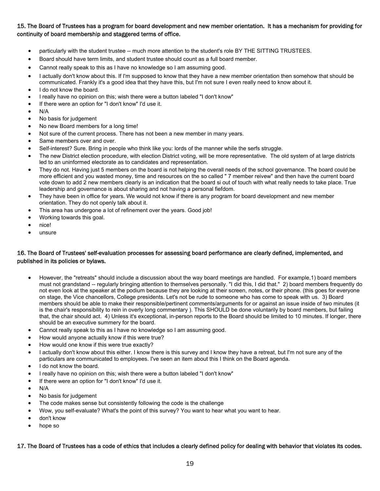# 15. The Board of Trustees has a program for board development and new member orientation. It has a mechanism for providing for continuity of board membership and staggered terms of office.

- particularly with the student trustee -- much more attention to the student's role BY THE SITTING TRUSTEES.
- Board should have term limits, and student trustee should count as a full board member.
- Cannot really speak to this as I have no knowledge so I am assuming good.
- I actually don't know about this. If I'm supposed to know that they have a new member orientation then somehow that should be communicated. Frankly it's a good idea that they have this, but I'm not sure I even really need to know about it.
- I do not know the board.
- I really have no opinion on this; wish there were a button labeled "I don't know"
- If there were an option for "I don't know" I'd use it.
- N/A
- No basis for judgement
- No new Board members for a long time!
- Not sure of the current process. There has not been a new member in many years.
- Same members over and over.
- Self-interest? Sure. Bring in people who think like you: lords of the manner while the serfs struggle.
- The new District election procedure, with election District voting, will be more representative. The old system of at large districts led to an uninformed electorate as to candidates and representation.
- They do not. Having just 5 members on the board is not helping the overall needs of the school governance. The board could be more efficient and you wasted money, time and resources on the so called " 7 member reivew" and then have the current board vote down to add 2 new members clearly is an indication that the board si out of touch with what really needs to take place. True leadership and governance is about sharing and not having a personal fiefdom.
- They have been in office for years. We would not know if there is any program for board development and new member orientation. They do not openly talk about it.
- This area has undergone a lot of refinement over the years. Good job!
- Working towards this goal.
- nice!
- unsure

## 16. The Board of Trustees' self-evaluation processes for assessing board performance are clearly defined, implemented, and published in its policies or bylaws.

- However, the "retreats" should include a discussion about the way board meetings are handled. For example,1) board members must not grandstand -- regularly bringing attention to themselves personally. "I did this, I did that." 2) board members frequently do not even look at the speaker at the podium because they are looking at their screen, notes, or their phone. (this goes for everyone on stage, the Vice chancellors, College presidents. Let's not be rude to someone who has come to speak with us. 3) Board members should be able to make their responsible/pertinent comments/arguments for or against an issue inside of two minutes (it is the chair's responsibility to rein in overly long commentary ). This SHOULD be done voluntarily by board members, but failing that, the chair should act. 4) Unless it's exceptional, in-person reports to the Board should be limited to 10 minutes. If longer, there should be an executive summery for the board.
- Cannot really speak to this as I have no knowledge so I am assuming good.
- How would anyone actually know if this were true?
- How would one know if this were true exactly?
- I actually don't know about this either. I know there is this survey and I know they have a retreat, but I'm not sure any of the particulars are communicated to employees. I've seen an item about this I think on the Board agenda.
- I do not know the board.
- I really have no opinion on this; wish there were a button labeled "I don't know"
- If there were an option for "I don't know" I'd use it.
- N/A
- No basis for judgement
- The code makes sense but consistently following the code is the challenge
- Wow, you self-evaluate? What's the point of this survey? You want to hear what you want to hear.
- don't know
- hope so

#### 17. The Board of Trustees has a code of ethics that includes a clearly defined policy for dealing with behavior that violates its codes.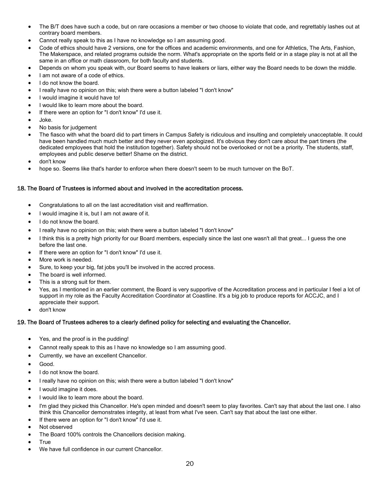- The B/T does have such a code, but on rare occasions a member or two choose to violate that code, and regrettably lashes out at contrary board members.
- Cannot really speak to this as I have no knowledge so I am assuming good.
- Code of ethics should have 2 versions, one for the offices and academic environments, and one for Athletics, The Arts, Fashion, The Makerspace, and related programs outside the norm. What's appropriate on the sports field or in a stage play is not at all the same in an office or math classroom, for both faculty and students.
- Depends on whom you speak with, our Board seems to have leakers or liars, either way the Board needs to be down the middle.
- I am not aware of a code of ethics.
- I do not know the board.
- I really have no opinion on this; wish there were a button labeled "I don't know"
- I would imagine it would have to!
- I would like to learn more about the board.
- If there were an option for "I don't know" I'd use it.
- Joke.
- No basis for judgement
- The fiasco with what the board did to part timers in Campus Safety is ridiculous and insulting and completely unacceptable. It could have been handled much much better and they never even apologized. It's obvious they don't care about the part timers (the dedicated employees that hold the institution together). Safety should not be overlooked or not be a priority. The students, staff, employees and public deserve better! Shame on the district.
- don't know
- hope so. Seems like that's harder to enforce when there doesn't seem to be much turnover on the BoT.

## 18. The Board of Trustees is informed about and involved in the accreditation process.

- Congratulations to all on the last accreditation visit and reaffirmation.
- I would imagine it is, but I am not aware of it.
- I do not know the board.
- I really have no opinion on this; wish there were a button labeled "I don't know"
- I think this is a pretty high priority for our Board members, especially since the last one wasn't all that great... I guess the one before the last one.
- If there were an option for "I don't know" I'd use it.
- More work is needed.
- Sure, to keep your big, fat jobs you'll be involved in the accred process.
- The board is well informed.
- This is a strong suit for them.
- Yes, as I mentioned in an earlier comment, the Board is very supportive of the Accreditation process and in particular I feel a lot of support in my role as the Faculty Accreditation Coordinator at Coastline. It's a big job to produce reports for ACCJC, and I appreciate their support.
- don't know

## 19. The Board of Trustees adheres to a clearly defined policy for selecting and evaluating the Chancellor.

- Yes, and the proof is in the pudding!
- Cannot really speak to this as I have no knowledge so I am assuming good.
- Currently, we have an excellent Chancellor.
- Good.
- I do not know the board.
- I really have no opinion on this; wish there were a button labeled "I don't know"
- I would imagine it does.
- I would like to learn more about the board.
- I'm glad they picked this Chancellor. He's open minded and doesn't seem to play favorites. Can't say that about the last one. I also think this Chancellor demonstrates integrity, at least from what I've seen. Can't say that about the last one either.
- If there were an option for "I don't know" I'd use it.
- Not observed
- The Board 100% controls the Chancellors decision making.
- **True**
- We have full confidence in our current Chancellor.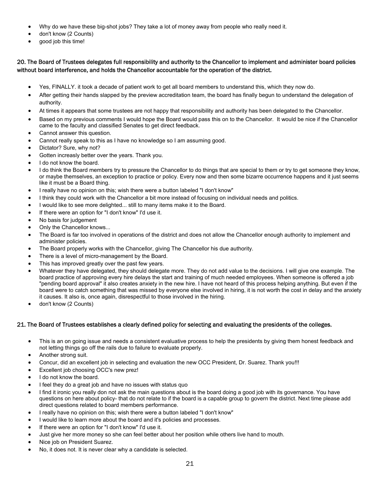- Why do we have these big-shot jobs? They take a lot of money away from people who really need it.
- don't know (2 Counts)
- good job this time!

# 20. The Board of Trustees delegates full responsibility and authority to the Chancellor to implement and administer board policies without board interference, and holds the Chancellor accountable for the operation of the district.

- Yes, FINALLY. it took a decade of patient work to get all board members to understand this, which they now do.
- After getting their hands slapped by the preview accreditation team, the board has finally begun to understand the delegation of authority.
- At times it appears that some trustees are not happy that responsibility and authority has been delegated to the Chancellor.
- Based on my previous comments I would hope the Board would pass this on to the Chancellor. It would be nice if the Chancellor came to the faculty and classified Senates to get direct feedback.
- Cannot answer this question.
- Cannot really speak to this as I have no knowledge so I am assuming good.
- Dictator? Sure, why not?
- Gotten increasly better over the years. Thank you.
- I do not know the board.
- I do think the Board members try to pressure the Chancellor to do things that are special to them or try to get someone they know, or maybe themselves, an exception to practice or policy. Every now and then some bizarre occurrence happens and it just seems like it must be a Board thing.
- I really have no opinion on this; wish there were a button labeled "I don't know"
- I think they could work with the Chancellor a bit more instead of focusing on individual needs and politics.
- I would like to see more delighted... still to many items make it to the Board.
- If there were an option for "I don't know" I'd use it.
- No basis for judgement
- Only the Chancellor knows...
- The Board is far too involved in operations of the district and does not allow the Chancellor enough authority to implement and administer policies.
- The Board properly works with the Chancellor, giving The Chancellor his due authority.
- There is a level of micro-management by the Board.
- This has improved greatly over the past few years.
- Whatever they have delegated, they should delegate more. They do not add value to the decisions. I will give one example. The board practice of approving every hire delays the start and training of much needed employees. When someone is offered a job "pending board approval" it also creates anxiety in the new hire. I have not heard of this process helping anything. But even if the board were to catch something that was missed by everyone else involved in hiring, it is not worth the cost in delay and the anxiety it causes. It also is, once again, disrespectful to those involved in the hiring.
- don't know (2 Counts)

#### 21. The Board of Trustees establishes a clearly defined policy for selecting and evaluating the presidents of the colleges.

- This is an on going issue and needs a consistent evaluative process to help the presidents by giving them honest feedback and not letting things go off the rails due to failure to evaluate properly.
- Another strong suit.
- Concur, did an excellent job in selecting and evaluation the new OCC President, Dr. Suarez. Thank you!!!
- Excellent job choosing OCC's new prez!
- I do not know the board.
- I feel they do a great job and have no issues with status quo
- I find it ironic you really don not ask the main questions about is the board doing a good job with its governance. You have questions on here about policy- that do not relate to if the board is a capable group to govern the district. Next time please add direct questions related to board members performance.
- I really have no opinion on this; wish there were a button labeled "I don't know"
- I would like to learn more about the board and it's policies and processes.
- If there were an option for "I don't know" I'd use it.
- Just give her more money so she can feel better about her position while others live hand to mouth.
- Nice job on President Suarez.
- No, it does not. It is never clear why a candidate is selected.